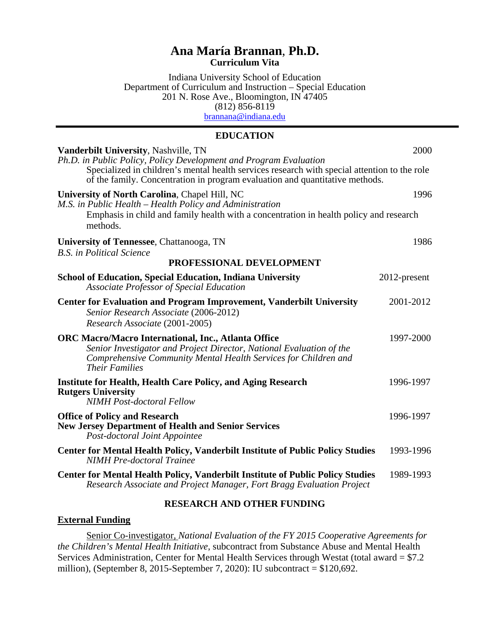# **Ana María Brannan**, **Ph.D. Curriculum Vita**

Indiana University School of Education Department of Curriculum and Instruction – Special Education 201 N. Rose Ave., Bloomington, IN 47405 (812) 856-8119 [brannana@indiana.edu](mailto:brannana@indiana.edu)

### **EDUCATION**

| Vanderbilt University, Nashville, TN<br>Ph.D. in Public Policy, Policy Development and Program Evaluation                                                                                                                      | 2000         |
|--------------------------------------------------------------------------------------------------------------------------------------------------------------------------------------------------------------------------------|--------------|
| Specialized in children's mental health services research with special attention to the role<br>of the family. Concentration in program evaluation and quantitative methods.                                                   |              |
| University of North Carolina, Chapel Hill, NC<br>M.S. in Public Health - Health Policy and Administration<br>Emphasis in child and family health with a concentration in health policy and research<br>methods.                | 1996         |
| <b>University of Tennessee, Chattanooga, TN</b><br><b>B.S.</b> in Political Science                                                                                                                                            | 1986         |
| PROFESSIONAL DEVELOPMENT                                                                                                                                                                                                       |              |
| <b>School of Education, Special Education, Indiana University</b><br><b>Associate Professor of Special Education</b>                                                                                                           | 2012-present |
| <b>Center for Evaluation and Program Improvement, Vanderbilt University</b><br>Senior Research Associate (2006-2012)<br>Research Associate (2001-2005)                                                                         | 2001-2012    |
| <b>ORC Macro/Macro International, Inc., Atlanta Office</b><br>Senior Investigator and Project Director, National Evaluation of the<br>Comprehensive Community Mental Health Services for Children and<br><b>Their Families</b> | 1997-2000    |
| <b>Institute for Health, Health Care Policy, and Aging Research</b><br><b>Rutgers University</b><br><b>NIMH</b> Post-doctoral Fellow                                                                                           | 1996-1997    |
| <b>Office of Policy and Research</b><br><b>New Jersey Department of Health and Senior Services</b><br>Post-doctoral Joint Appointee                                                                                            | 1996-1997    |
| <b>Center for Mental Health Policy, Vanderbilt Institute of Public Policy Studies</b><br><b>NIMH</b> Pre-doctoral Trainee                                                                                                      | 1993-1996    |
| Center for Mental Health Policy, Vanderbilt Institute of Public Policy Studies<br>Research Associate and Project Manager, Fort Bragg Evaluation Project                                                                        | 1989-1993    |

# **RESEARCH AND OTHER FUNDING**

#### **External Funding**

Senior Co-investigator*, National Evaluation of the FY 2015 Cooperative Agreements for the Children's Mental Health Initiative*, subcontract from Substance Abuse and Mental Health Services Administration, Center for Mental Health Services through Westat (total award = \$7.2 million), (September 8, 2015-September 7, 2020): IU subcontract = \$120,692.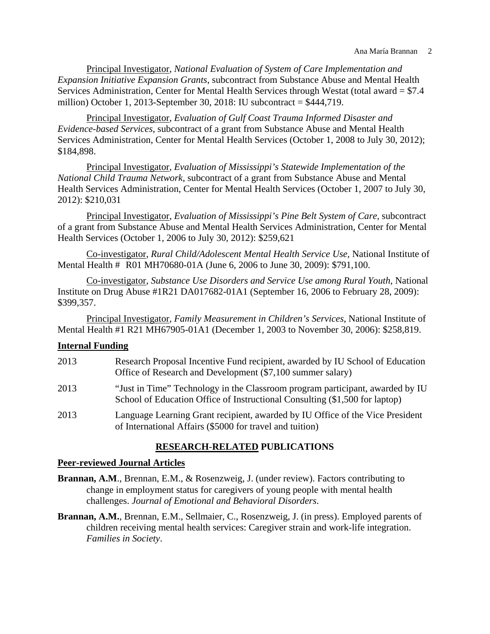Principal Investigator, *National Evaluation of System of Care Implementation and Expansion Initiative Expansion Grants*, subcontract from Substance Abuse and Mental Health Services Administration, Center for Mental Health Services through Westat (total award = \$7.4 million) October 1, 2013-September 30, 2018: IU subcontract = \$444,719.

Principal Investigator, *Evaluation of Gulf Coast Trauma Informed Disaster and Evidence-based Services*, subcontract of a grant from Substance Abuse and Mental Health Services Administration, Center for Mental Health Services (October 1, 2008 to July 30, 2012); \$184,898.

Principal Investigator, *Evaluation of Mississippi's Statewide Implementation of the National Child Trauma Network*, subcontract of a grant from Substance Abuse and Mental Health Services Administration, Center for Mental Health Services (October 1, 2007 to July 30, 2012): \$210,031

Principal Investigator, *Evaluation of Mississippi's Pine Belt System of Care,* subcontract of a grant from Substance Abuse and Mental Health Services Administration, Center for Mental Health Services (October 1, 2006 to July 30, 2012): \$259,621

Co-investigator, *Rural Child/Adolescent Mental Health Service Use,* National Institute of Mental Health # R01 MH70680-01A (June 6, 2006 to June 30, 2009): \$791,100.

Co-investigator, *Substance Use Disorders and Service Use among Rural Youth,* National Institute on Drug Abuse #1R21 DA017682-01A1 (September 16, 2006 to February 28, 2009): \$399,357.

Principal Investigator, *Family Measurement in Children's Services*, National Institute of Mental Health #1 R21 MH67905-01A1 (December 1, 2003 to November 30, 2006): \$258,819.

### **Internal Funding**

- 2013 Research Proposal Incentive Fund recipient, awarded by IU School of Education Office of Research and Development (\$7,100 summer salary)
- 2013 "Just in Time" Technology in the Classroom program participant, awarded by IU School of Education Office of Instructional Consulting (\$1,500 for laptop)
- 2013 Language Learning Grant recipient, awarded by IU Office of the Vice President of International Affairs (\$5000 for travel and tuition)

# **RESEARCH**-**RELATED PUBLICATIONS**

#### **Peer-reviewed Journal Articles**

- **Brannan, A.M**., Brennan, E.M., & Rosenzweig, J. (under review). Factors contributing to change in employment status for caregivers of young people with mental health challenges. *Journal of Emotional and Behavioral Disorders*.
- **Brannan, A.M.**, Brennan, E.M., Sellmaier, C., Rosenzweig, J. (in press). Employed parents of children receiving mental health services: Caregiver strain and work-life integration. *Families in Society*.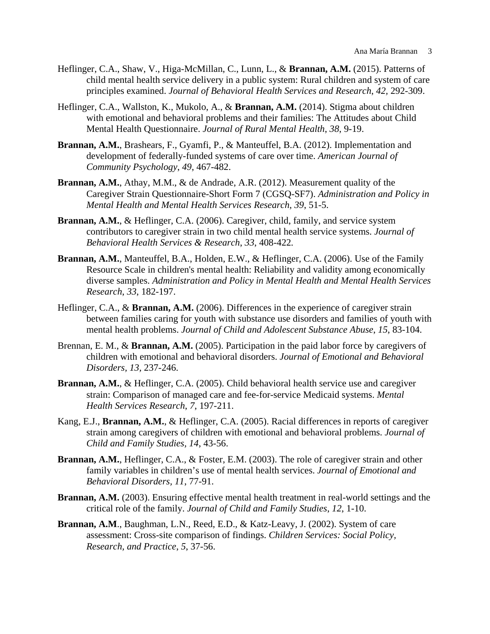- Heflinger, C.A., Shaw, V., Higa-McMillan, C., Lunn, L., & **Brannan, A.M.** (2015). Patterns of child mental health service delivery in a public system: Rural children and system of care principles examined. *Journal of Behavioral Health Services and Research*, *42,* 292-309.
- Heflinger, C.A., Wallston, K., Mukolo, A., & **Brannan, A.M.** (2014). Stigma about children with emotional and behavioral problems and their families: The Attitudes about Child Mental Health Questionnaire. *Journal of Rural Mental Health*, *38*, 9-19.
- **Brannan, A.M.**, Brashears, F., Gyamfi, P., & Manteuffel, B.A. (2012). Implementation and development of federally-funded systems of care over time. *American Journal of Community Psychology*, *49*, 467-482.
- **Brannan, A.M.**, Athay, M.M., & de Andrade, A.R. (2012). Measurement quality of the Caregiver Strain Questionnaire-Short Form 7 (CGSQ-SF7). *Administration and Policy in Mental Health and Mental Health Services Research*, *39*, 51-5.
- **Brannan, A.M.**, & Heflinger, C.A. (2006). Caregiver, child, family, and service system contributors to caregiver strain in two child mental health service systems. *Journal of Behavioral Health Services & Research*, *33*, 408-422*.*
- **Brannan, A.M.**, Manteuffel, B.A., Holden, E.W., & Heflinger, C.A. (2006). Use of the Family Resource Scale in children's mental health: Reliability and validity among economically diverse samples. *Administration and Policy in Mental Health and Mental Health Services Research*, *33*, 182-197.
- Heflinger, C.A., & **Brannan, A.M.** (2006). Differences in the experience of caregiver strain between families caring for youth with substance use disorders and families of youth with mental health problems. *Journal of Child and Adolescent Substance Abuse*, *15*, 83-104.
- Brennan, E. M., & **Brannan, A.M.** (2005). Participation in the paid labor force by caregivers of children with emotional and behavioral disorders. *Journal of Emotional and Behavioral Disorders, 13,* 237-246.
- **Brannan, A.M.**, & Heflinger, C.A. (2005). Child behavioral health service use and caregiver strain: Comparison of managed care and fee-for-service Medicaid systems. *Mental Health Services Research*, *7*, 197-211.
- Kang, E.J., **Brannan, A.M.**, & Heflinger, C.A. (2005). Racial differences in reports of caregiver strain among caregivers of children with emotional and behavioral problems. *Journal of Child and Family Studies, 14*, 43-56.
- **Brannan, A.M.**, Heflinger, C.A., & Foster, E.M. (2003). The role of caregiver strain and other family variables in children's use of mental health services. *Journal of Emotional and Behavioral Disorders, 11*, 77-91.
- **Brannan, A.M.** (2003). Ensuring effective mental health treatment in real-world settings and the critical role of the family. *Journal of Child and Family Studies*, *12*, 1-10.
- **Brannan, A.M**., Baughman, L.N., Reed, E.D., & Katz-Leavy, J. (2002). System of care assessment: Cross-site comparison of findings. *Children Services: Social Policy, Research, and Practice*, *5*, 37-56.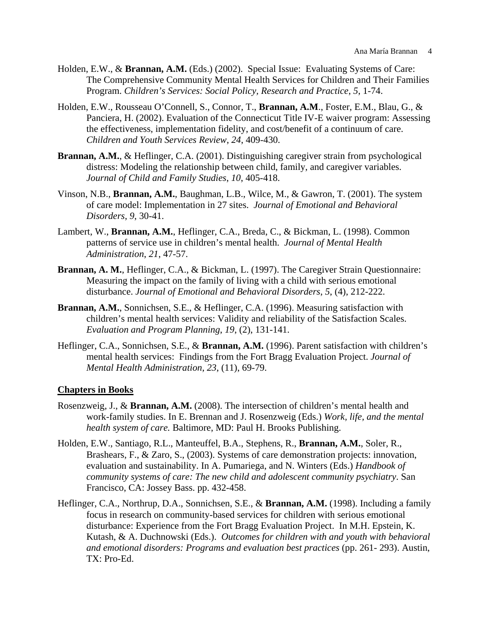- Holden, E.W., & **Brannan, A.M.** (Eds.) (2002). Special Issue: Evaluating Systems of Care: The Comprehensive Community Mental Health Services for Children and Their Families Program. *Children's Services: Social Policy, Research and Practice*, *5*, 1-74.
- Holden, E.W., Rousseau O'Connell, S., Connor, T., **Brannan, A.M**., Foster, E.M., Blau, G., & Panciera, H. (2002). Evaluation of the Connecticut Title IV-E waiver program: Assessing the effectiveness, implementation fidelity, and cost/benefit of a continuum of care. *Children and Youth Services Review*, *24*, 409-430.
- **Brannan, A.M.**, & Heflinger, C.A. (2001). Distinguishing caregiver strain from psychological distress: Modeling the relationship between child, family, and caregiver variables. *Journal of Child and Family Studies*, *10*, 405-418.
- Vinson, N.B., **Brannan, A.M.**, Baughman, L.B., Wilce, M., & Gawron, T. (2001). The system of care model: Implementation in 27 sites. *Journal of Emotional and Behavioral Disorders*, *9*, 30-41.
- Lambert, W., **Brannan, A.M.**, Heflinger, C.A., Breda, C., & Bickman, L. (1998). Common patterns of service use in children's mental health. *Journal of Mental Health Administration*, *21*, 47-57.
- **Brannan, A. M.**, Heflinger, C.A., & Bickman, L. (1997). The Caregiver Strain Questionnaire: Measuring the impact on the family of living with a child with serious emotional disturbance. *Journal of Emotional and Behavioral Disorders*, *5*, (4), 212-222.
- **Brannan, A.M.**, Sonnichsen, S.E., & Heflinger, C.A. (1996). Measuring satisfaction with children's mental health services: Validity and reliability of the Satisfaction Scales. *Evaluation and Program Planning*, *19*, (2), 131-141.
- Heflinger, C.A., Sonnichsen, S.E., & **Brannan, A.M.** (1996). Parent satisfaction with children's mental health services: Findings from the Fort Bragg Evaluation Project. *Journal of Mental Health Administration*, *23*, (11), 69-79.

# **Chapters in Books**

- Rosenzweig, J., & **Brannan, A.M.** (2008). The intersection of children's mental health and work-family studies. In E. Brennan and J. Rosenzweig (Eds.) *Work, life, and the mental health system of care.* Baltimore, MD: Paul H. Brooks Publishing.
- Holden, E.W., Santiago, R.L., Manteuffel, B.A., Stephens, R., **Brannan, A.M.**, Soler, R., Brashears, F., & Zaro, S., (2003). Systems of care demonstration projects: innovation, evaluation and sustainability. In A. Pumariega, and N. Winters (Eds.) *Handbook of community systems of care: The new child and adolescent community psychiatry*. San Francisco, CA: Jossey Bass. pp. 432-458.
- Heflinger, C.A., Northrup, D.A., Sonnichsen, S.E., & **Brannan, A.M.** (1998). Including a family focus in research on community-based services for children with serious emotional disturbance: Experience from the Fort Bragg Evaluation Project. In M.H. Epstein, K. Kutash, & A. Duchnowski (Eds.). *Outcomes for children with and youth with behavioral and emotional disorders: Programs and evaluation best practices* (pp. 261- 293). Austin, TX: Pro-Ed.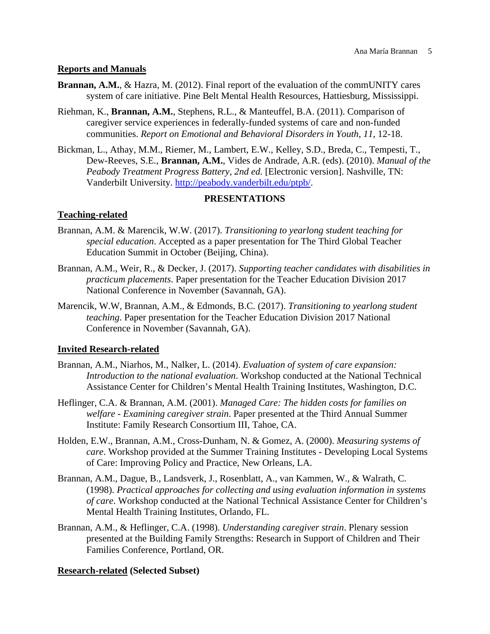# **Reports and Manuals**

- **Brannan, A.M.**, & Hazra, M. (2012). Final report of the evaluation of the commUNITY cares system of care initiative. Pine Belt Mental Health Resources, Hattiesburg, Mississippi.
- Riehman, K., **Brannan, A.M.**, Stephens, R.L., & Manteuffel, B.A. (2011). Comparison of caregiver service experiences in federally-funded systems of care and non-funded communities. *Report on Emotional and Behavioral Disorders in Youth*, *11*, 12-18.
- Bickman, L., Athay, M.M., Riemer, M., Lambert, E.W., Kelley, S.D., Breda, C., Tempesti, T., Dew-Reeves, S.E., **Brannan, A.M.**, Vides de Andrade, A.R. (eds). (2010). *Manual of the Peabody Treatment Progress Battery, 2nd ed.* [Electronic version]. Nashville, TN: Vanderbilt University. [http://peabody.vanderbilt.edu/ptpb/.](http://peabody.vanderbilt.edu/ptpb/)

# **PRESENTATIONS**

# **Teaching-related**

- Brannan, A.M. & Marencik, W.W. (2017). *Transitioning to yearlong student teaching for special education*. Accepted as a paper presentation for The Third Global Teacher Education Summit in October (Beijing, China).
- Brannan, A.M., Weir, R., & Decker, J. (2017). *Supporting teacher candidates with disabilities in practicum placements*. Paper presentation for the Teacher Education Division 2017 National Conference in November (Savannah, GA).
- Marencik, W.W, Brannan, A.M., & Edmonds, B.C. (2017). *Transitioning to yearlong student teaching*. Paper presentation for the Teacher Education Division 2017 National Conference in November (Savannah, GA).

# **Invited Research-related**

- Brannan, A.M., Niarhos, M., Nalker, L. (2014). *Evaluation of system of care expansion: Introduction to the national evaluation*. Workshop conducted at the National Technical Assistance Center for Children's Mental Health Training Institutes, Washington, D.C.
- Heflinger, C.A. & Brannan, A.M. (2001). *Managed Care: The hidden costs for families on welfare - Examining caregiver strain*. Paper presented at the Third Annual Summer Institute: Family Research Consortium III, Tahoe, CA.
- Holden, E.W., Brannan, A.M., Cross-Dunham, N. & Gomez, A. (2000). *Measuring systems of care*. Workshop provided at the Summer Training Institutes - Developing Local Systems of Care: Improving Policy and Practice, New Orleans, LA.
- Brannan, A.M., Dague, B., Landsverk, J., Rosenblatt, A., van Kammen, W., & Walrath, C. (1998). *Practical approaches for collecting and using evaluation information in systems of care*. Workshop conducted at the National Technical Assistance Center for Children's Mental Health Training Institutes, Orlando, FL.
- Brannan, A.M., & Heflinger, C.A. (1998). *Understanding caregiver strain*. Plenary session presented at the Building Family Strengths: Research in Support of Children and Their Families Conference, Portland, OR.

# **Research-related (Selected Subset)**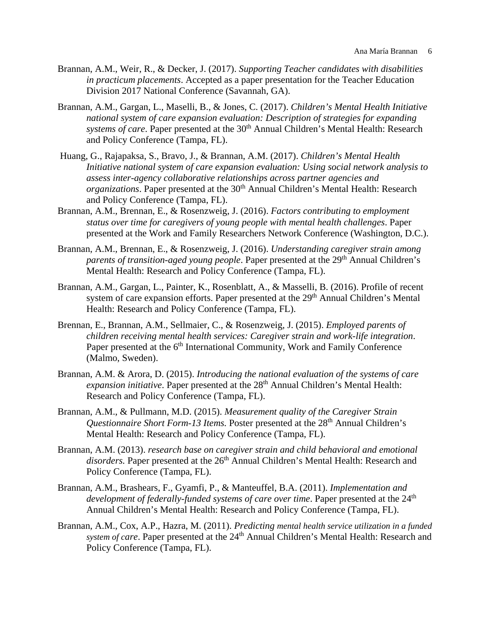- Brannan, A.M., Weir, R., & Decker, J. (2017). *Supporting Teacher candidates with disabilities in practicum placements*. Accepted as a paper presentation for the Teacher Education Division 2017 National Conference (Savannah, GA).
- Brannan, A.M., Gargan, L., Maselli, B., & Jones, C. (2017). *Children's Mental Health Initiative national system of care expansion evaluation: Description of strategies for expanding systems of care*. Paper presented at the 30<sup>th</sup> Annual Children's Mental Health: Research and Policy Conference (Tampa, FL).
- Huang, G., Rajapaksa, S., Bravo, J., & Brannan, A.M. (2017). *Children's Mental Health Initiative national system of care expansion evaluation: Using social network analysis to assess inter-agency collaborative relationships across partner agencies and organizations*. Paper presented at the 30<sup>th</sup> Annual Children's Mental Health: Research and Policy Conference (Tampa, FL).
- Brannan, A.M., Brennan, E., & Rosenzweig, J. (2016). *Factors contributing to employment status over time for caregivers of young people with mental health challenges*. Paper presented at the Work and Family Researchers Network Conference (Washington, D.C.).
- Brannan, A.M., Brennan, E., & Rosenzweig, J. (2016). *Understanding caregiver strain among parents of transition-aged young people*. Paper presented at the 29<sup>th</sup> Annual Children's Mental Health: Research and Policy Conference (Tampa, FL).
- Brannan, A.M., Gargan, L., Painter, K., Rosenblatt, A., & Masselli, B. (2016). Profile of recent system of care expansion efforts. Paper presented at the 29<sup>th</sup> Annual Children's Mental Health: Research and Policy Conference (Tampa, FL).
- Brennan, E., Brannan, A.M., Sellmaier, C., & Rosenzweig, J. (2015). *Employed parents of children receiving mental health services: Caregiver strain and work-life integration*. Paper presented at the 6<sup>th</sup> International Community, Work and Family Conference (Malmo, Sweden).
- Brannan, A.M. & Arora, D. (2015). *Introducing the national evaluation of the systems of care expansion initiative*. Paper presented at the 28<sup>th</sup> Annual Children's Mental Health: Research and Policy Conference (Tampa, FL).
- Brannan, A.M., & Pullmann, M.D. (2015). *Measurement quality of the Caregiver Strain Questionnaire Short Form-13 Items.* Poster presented at the 28<sup>th</sup> Annual Children's Mental Health: Research and Policy Conference (Tampa, FL).
- Brannan, A.M. (2013). *research base on caregiver strain and child behavioral and emotional*  disorders. Paper presented at the 26<sup>th</sup> Annual Children's Mental Health: Research and Policy Conference (Tampa, FL).
- Brannan, A.M., Brashears, F., Gyamfi, P., & Manteuffel, B.A. (2011). *Implementation and development of federally-funded systems of care over time.* Paper presented at the 24<sup>th</sup> Annual Children's Mental Health: Research and Policy Conference (Tampa, FL).
- Brannan, A.M., Cox, A.P., Hazra, M. (2011). *Predicting mental health service utilization in a funded system of care*. Paper presented at the 24<sup>th</sup> Annual Children's Mental Health: Research and Policy Conference (Tampa, FL).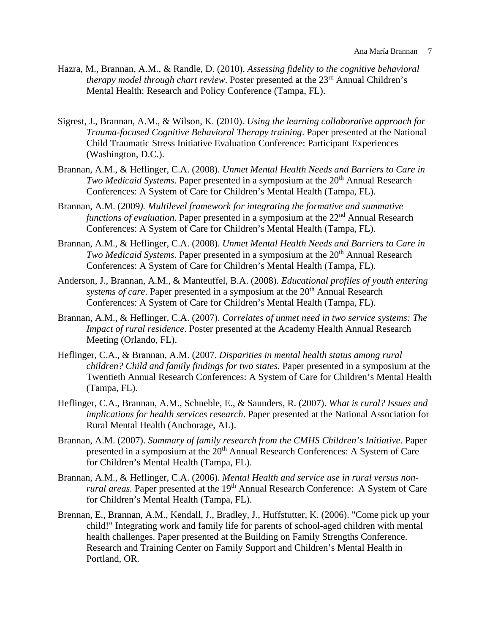- Hazra, M., Brannan, A.M., & Randle, D. (2010). *Assessing fidelity to the cognitive behavioral therapy model through chart review.* Poster presented at the 23<sup>rd</sup> Annual Children's Mental Health: Research and Policy Conference (Tampa, FL).
- Sigrest, J., Brannan, A.M., & Wilson, K. (2010). *Using the learning collaborative approach for Trauma-focused Cognitive Behavioral Therapy training*. Paper presented at the National Child Traumatic Stress Initiative Evaluation Conference: Participant Experiences (Washington, D.C.).
- Brannan, A.M., & Heflinger, C.A. (2008). *Unmet Mental Health Needs and Barriers to Care in Two Medicaid Systems*. Paper presented in a symposium at the 20<sup>th</sup> Annual Research Conferences: A System of Care for Children's Mental Health (Tampa, FL).
- Brannan, A.M. (2009*). Multilevel framework for integrating the formative and summative functions of evaluation*. Paper presented in a symposium at the 22<sup>nd</sup> Annual Research Conferences: A System of Care for Children's Mental Health (Tampa, FL).
- Brannan, A.M., & Heflinger, C.A. (2008). *Unmet Mental Health Needs and Barriers to Care in Two Medicaid Systems*. Paper presented in a symposium at the 20<sup>th</sup> Annual Research Conferences: A System of Care for Children's Mental Health (Tampa, FL).
- Anderson, J., Brannan, A.M., & Manteuffel, B.A. (2008). *Educational profiles of youth entering systems of care*. Paper presented in a symposium at the 20<sup>th</sup> Annual Research Conferences: A System of Care for Children's Mental Health (Tampa, FL).
- Brannan, A.M., & Heflinger, C.A. (2007). *Correlates of unmet need in two service systems: The Impact of rural residence*. Poster presented at the Academy Health Annual Research Meeting (Orlando, FL).
- Heflinger, C.A., & Brannan, A.M. (2007. *Disparities in mental health status among rural children? Child and family findings for two states.* Paper presented in a symposium at the Twentieth Annual Research Conferences: A System of Care for Children's Mental Health (Tampa, FL).
- Heflinger, C.A., Brannan, A.M., Schneble, E., & Saunders, R. (2007). *What is rural? Issues and implications for health services research*. Paper presented at the National Association for Rural Mental Health (Anchorage, AL).
- Brannan, A.M. (2007). *Summary of family research from the CMHS Children's Initiative*. Paper presented in a symposium at the 20<sup>th</sup> Annual Research Conferences: A System of Care for Children's Mental Health (Tampa, FL).
- Brannan, A.M., & Heflinger, C.A. (2006). *Mental Health and service use in rural versus nonrural areas.* Paper presented at the 19<sup>th</sup> Annual Research Conference: A System of Care for Children's Mental Health (Tampa, FL).
- Brennan, E., Brannan, A.M., Kendall, J., Bradley, J., Huffstutter, K. (2006). "Come pick up your child!" Integrating work and family life for parents of school-aged children with mental health challenges. Paper presented at the Building on Family Strengths Conference. Research and Training Center on Family Support and Children's Mental Health in Portland, OR.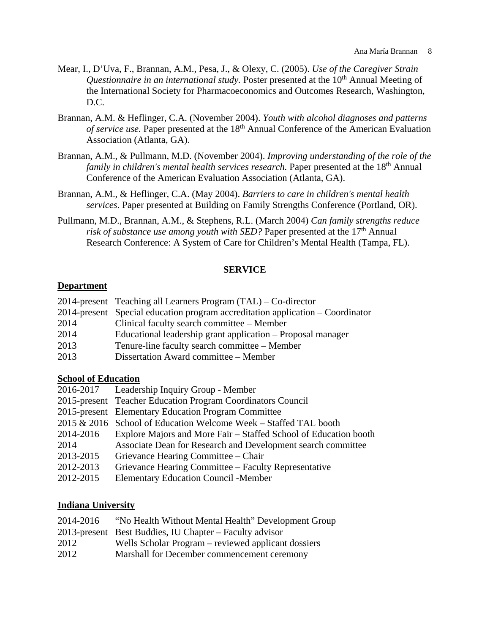- Mear, I., D'Uva, F., Brannan, A.M., Pesa, J., & Olexy, C. (2005). *Use of the Caregiver Strain Questionnaire in an international study.* Poster presented at the 10<sup>th</sup> Annual Meeting of the International Society for Pharmacoeconomics and Outcomes Research, Washington, D.C.
- Brannan, A.M. & Heflinger, C.A. (November 2004). *Youth with alcohol diagnoses and patterns of service use.* Paper presented at the 18<sup>th</sup> Annual Conference of the American Evaluation Association (Atlanta, GA).
- Brannan, A.M., & Pullmann, M.D. (November 2004). *Improving understanding of the role of the family in children's mental health services research.* Paper presented at the 18<sup>th</sup> Annual Conference of the American Evaluation Association (Atlanta, GA).
- Brannan, A.M., & Heflinger, C.A. (May 2004). *Barriers to care in children's mental health services*. Paper presented at Building on Family Strengths Conference (Portland, OR).
- Pullmann, M.D., Brannan, A.M., & Stephens, R.L. (March 2004) *Can family strengths reduce risk of substance use among youth with SED?* Paper presented at the 17<sup>th</sup> Annual Research Conference: A System of Care for Children's Mental Health (Tampa, FL).

# **SERVICE**

### **Department**

|      | 2014-present Teaching all Learners Program $(TAL) - Co\t-$ director            |
|------|--------------------------------------------------------------------------------|
|      | 2014-present Special education program accreditation application – Coordinator |
| 2014 | Clinical faculty search committee – Member                                     |
| 2014 | Educational leadership grant application – Proposal manager                    |
| 2013 | Tenure-line faculty search committee – Member                                  |
| 2013 | Dissertation Award committee – Member                                          |

### **School of Education**

|           | 2016-2017 Leadership Inquiry Group - Member                      |
|-----------|------------------------------------------------------------------|
|           | 2015-present Teacher Education Program Coordinators Council      |
|           | 2015-present Elementary Education Program Committee              |
|           | 2015 & 2016 School of Education Welcome Week - Staffed TAL booth |
| 2014-2016 | Explore Majors and More Fair – Staffed School of Education booth |
| 2014      | Associate Dean for Research and Development search committee     |
| 2013-2015 | Grievance Hearing Committee – Chair                              |
| 2012-2013 | Grievance Hearing Committee – Faculty Representative             |
| 2012-2015 | <b>Elementary Education Council - Member</b>                     |
|           |                                                                  |

#### **Indiana University**

| 2014-2016 | "No Health Without Mental Health" Development Group     |
|-----------|---------------------------------------------------------|
|           | 2013-present Best Buddies, IU Chapter – Faculty advisor |
| 2012      | Wells Scholar Program – reviewed applicant dossiers     |
| 2012      | Marshall for December commencement ceremony             |
|           |                                                         |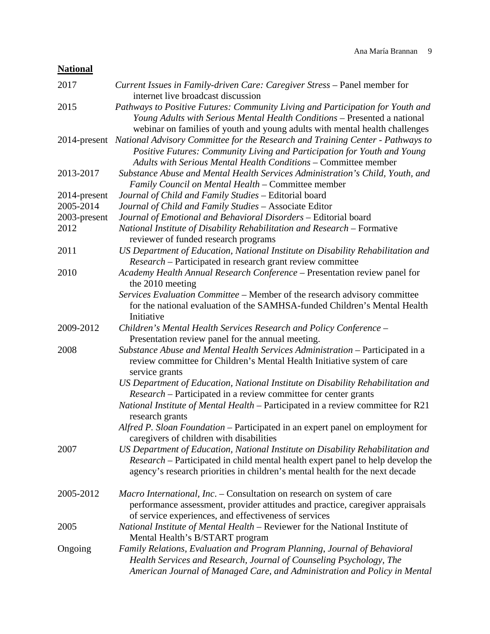# **National**

| 2017         | Current Issues in Family-driven Care: Caregiver Stress - Panel member for<br>internet live broadcast discussion                                                                                                                                           |
|--------------|-----------------------------------------------------------------------------------------------------------------------------------------------------------------------------------------------------------------------------------------------------------|
| 2015         | Pathways to Positive Futures: Community Living and Participation for Youth and<br>Young Adults with Serious Mental Health Conditions - Presented a national<br>webinar on families of youth and young adults with mental health challenges                |
|              | 2014-present National Advisory Committee for the Research and Training Center - Pathways to<br>Positive Futures: Community Living and Participation for Youth and Young<br><b>Adults with Serious Mental Health Conditions - Committee member</b>         |
| 2013-2017    | Substance Abuse and Mental Health Services Administration's Child, Youth, and<br>Family Council on Mental Health – Committee member                                                                                                                       |
| 2014-present | Journal of Child and Family Studies - Editorial board                                                                                                                                                                                                     |
| 2005-2014    | Journal of Child and Family Studies - Associate Editor                                                                                                                                                                                                    |
| 2003-present | Journal of Emotional and Behavioral Disorders - Editorial board                                                                                                                                                                                           |
| 2012         | National Institute of Disability Rehabilitation and Research – Formative<br>reviewer of funded research programs                                                                                                                                          |
| 2011         | US Department of Education, National Institute on Disability Rehabilitation and<br><i>Research</i> – Participated in research grant review committee                                                                                                      |
| 2010         | Academy Health Annual Research Conference - Presentation review panel for<br>the 2010 meeting                                                                                                                                                             |
|              | Services Evaluation Committee - Member of the research advisory committee<br>for the national evaluation of the SAMHSA-funded Children's Mental Health<br>Initiative                                                                                      |
| 2009-2012    | Children's Mental Health Services Research and Policy Conference -<br>Presentation review panel for the annual meeting.                                                                                                                                   |
| 2008         | Substance Abuse and Mental Health Services Administration - Participated in a<br>review committee for Children's Mental Health Initiative system of care<br>service grants                                                                                |
|              | US Department of Education, National Institute on Disability Rehabilitation and<br><i>Research</i> – Participated in a review committee for center grants                                                                                                 |
|              | National Institute of Mental Health - Participated in a review committee for R21<br>research grants                                                                                                                                                       |
|              | Alfred P. Sloan Foundation – Participated in an expert panel on employment for<br>caregivers of children with disabilities                                                                                                                                |
| 2007         | US Department of Education, National Institute on Disability Rehabilitation and<br><i>Research</i> – Participated in child mental health expert panel to help develop the<br>agency's research priorities in children's mental health for the next decade |
| 2005-2012    | Macro International, Inc. – Consultation on research on system of care<br>performance assessment, provider attitudes and practice, caregiver appraisals<br>of service experiences, and effectiveness of services                                          |
| 2005         | National Institute of Mental Health - Reviewer for the National Institute of<br>Mental Health's B/START program                                                                                                                                           |
| Ongoing      | Family Relations, Evaluation and Program Planning, Journal of Behavioral<br>Health Services and Research, Journal of Counseling Psychology, The<br>American Journal of Managed Care, and Administration and Policy in Mental                              |